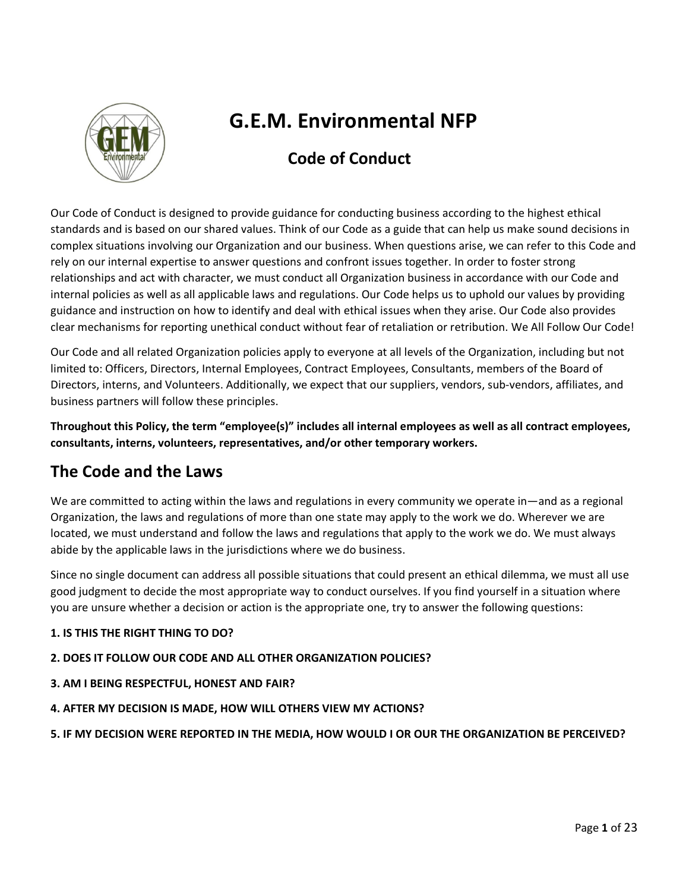

# **G.E.M. Environmental NFP**

## **Code of Conduct**

Our Code of Conduct is designed to provide guidance for conducting business according to the highest ethical standards and is based on our shared values. Think of our Code as a guide that can help us make sound decisions in complex situations involving our Organization and our business. When questions arise, we can refer to this Code and rely on our internal expertise to answer questions and confront issues together. In order to foster strong relationships and act with character, we must conduct all Organization business in accordance with our Code and internal policies as well as all applicable laws and regulations. Our Code helps us to uphold our values by providing guidance and instruction on how to identify and deal with ethical issues when they arise. Our Code also provides clear mechanisms for reporting unethical conduct without fear of retaliation or retribution. We All Follow Our Code!

Our Code and all related Organization policies apply to everyone at all levels of the Organization, including but not limited to: Officers, Directors, Internal Employees, Contract Employees, Consultants, members of the Board of Directors, interns, and Volunteers. Additionally, we expect that our suppliers, vendors, sub-vendors, affiliates, and business partners will follow these principles.

**Throughout this Policy, the term "employee(s)" includes all internal employees as well as all contract employees, consultants, interns, volunteers, representatives, and/or other temporary workers.**

## **The Code and the Laws**

We are committed to acting within the laws and regulations in every community we operate in—and as a regional Organization, the laws and regulations of more than one state may apply to the work we do. Wherever we are located, we must understand and follow the laws and regulations that apply to the work we do. We must always abide by the applicable laws in the jurisdictions where we do business.

Since no single document can address all possible situations that could present an ethical dilemma, we must all use good judgment to decide the most appropriate way to conduct ourselves. If you find yourself in a situation where you are unsure whether a decision or action is the appropriate one, try to answer the following questions:

## **1. IS THIS THE RIGHT THING TO DO?**

## **2. DOES IT FOLLOW OUR CODE AND ALL OTHER ORGANIZATION POLICIES?**

- **3. AM I BEING RESPECTFUL, HONEST AND FAIR?**
- **4. AFTER MY DECISION IS MADE, HOW WILL OTHERS VIEW MY ACTIONS?**
- **5. IF MY DECISION WERE REPORTED IN THE MEDIA, HOW WOULD I OR OUR THE ORGANIZATION BE PERCEIVED?**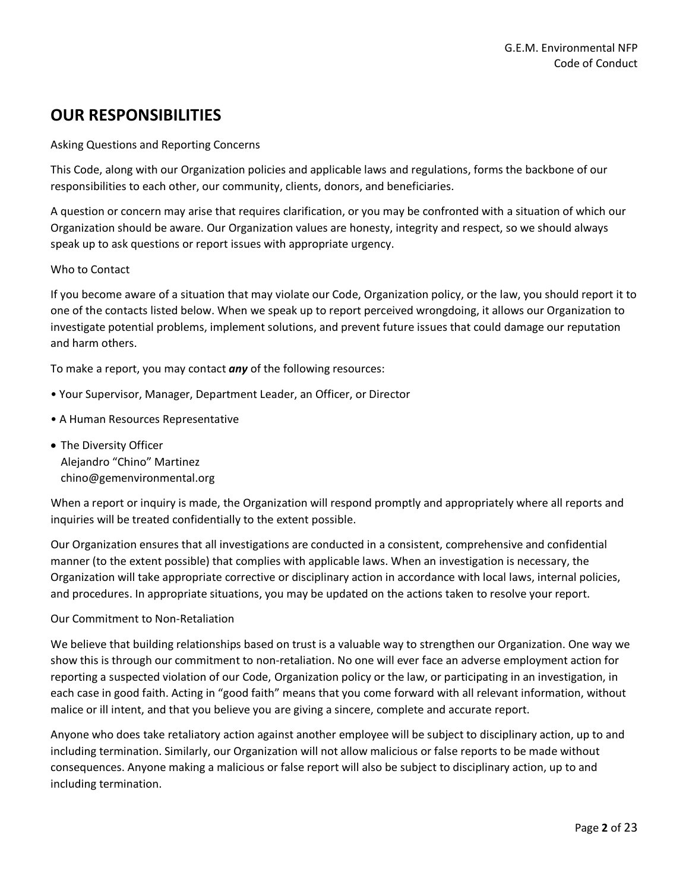## **OUR RESPONSIBILITIES**

Asking Questions and Reporting Concerns

This Code, along with our Organization policies and applicable laws and regulations, forms the backbone of our responsibilities to each other, our community, clients, donors, and beneficiaries.

A question or concern may arise that requires clarification, or you may be confronted with a situation of which our Organization should be aware. Our Organization values are honesty, integrity and respect, so we should always speak up to ask questions or report issues with appropriate urgency.

## Who to Contact

If you become aware of a situation that may violate our Code, Organization policy, or the law, you should report it to one of the contacts listed below. When we speak up to report perceived wrongdoing, it allows our Organization to investigate potential problems, implement solutions, and prevent future issues that could damage our reputation and harm others.

To make a report, you may contact *any* of the following resources:

- Your Supervisor, Manager, Department Leader, an Officer, or Director
- A Human Resources Representative
- The Diversity Officer Alejandro "Chino" Martinez chino@gemenvironmental.org

When a report or inquiry is made, the Organization will respond promptly and appropriately where all reports and inquiries will be treated confidentially to the extent possible.

Our Organization ensures that all investigations are conducted in a consistent, comprehensive and confidential manner (to the extent possible) that complies with applicable laws. When an investigation is necessary, the Organization will take appropriate corrective or disciplinary action in accordance with local laws, internal policies, and procedures. In appropriate situations, you may be updated on the actions taken to resolve your report.

#### Our Commitment to Non-Retaliation

We believe that building relationships based on trust is a valuable way to strengthen our Organization. One way we show this is through our commitment to non-retaliation. No one will ever face an adverse employment action for reporting a suspected violation of our Code, Organization policy or the law, or participating in an investigation, in each case in good faith. Acting in "good faith" means that you come forward with all relevant information, without malice or ill intent, and that you believe you are giving a sincere, complete and accurate report.

Anyone who does take retaliatory action against another employee will be subject to disciplinary action, up to and including termination. Similarly, our Organization will not allow malicious or false reports to be made without consequences. Anyone making a malicious or false report will also be subject to disciplinary action, up to and including termination.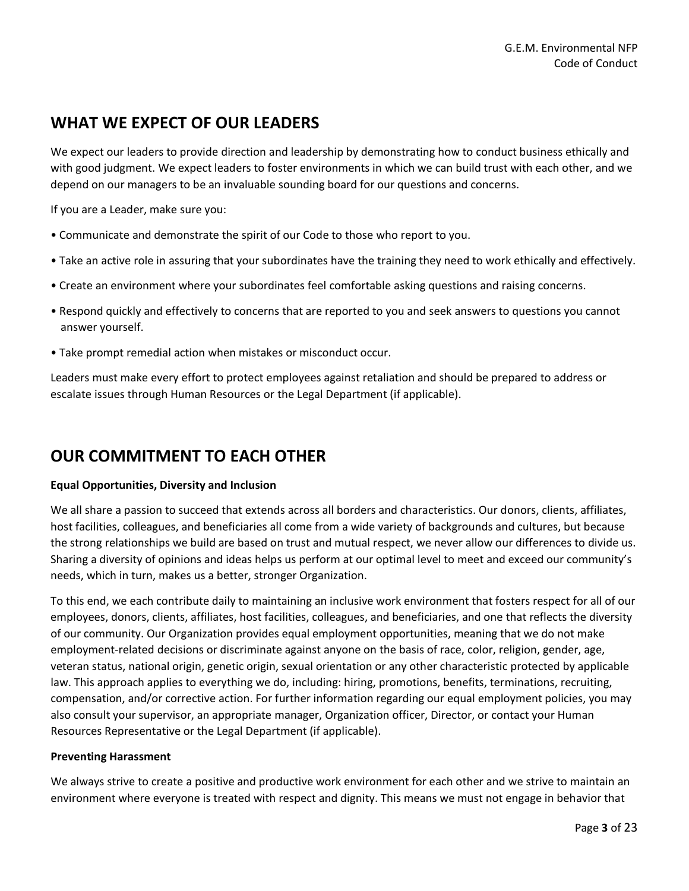## **WHAT WE EXPECT OF OUR LEADERS**

We expect our leaders to provide direction and leadership by demonstrating how to conduct business ethically and with good judgment. We expect leaders to foster environments in which we can build trust with each other, and we depend on our managers to be an invaluable sounding board for our questions and concerns.

If you are a Leader, make sure you:

- Communicate and demonstrate the spirit of our Code to those who report to you.
- Take an active role in assuring that your subordinates have the training they need to work ethically and effectively.
- Create an environment where your subordinates feel comfortable asking questions and raising concerns.
- Respond quickly and effectively to concerns that are reported to you and seek answers to questions you cannot answer yourself.
- Take prompt remedial action when mistakes or misconduct occur.

Leaders must make every effort to protect employees against retaliation and should be prepared to address or escalate issues through Human Resources or the Legal Department (if applicable).

## **OUR COMMITMENT TO EACH OTHER**

## **Equal Opportunities, Diversity and Inclusion**

We all share a passion to succeed that extends across all borders and characteristics. Our donors, clients, affiliates, host facilities, colleagues, and beneficiaries all come from a wide variety of backgrounds and cultures, but because the strong relationships we build are based on trust and mutual respect, we never allow our differences to divide us. Sharing a diversity of opinions and ideas helps us perform at our optimal level to meet and exceed our community's needs, which in turn, makes us a better, stronger Organization.

To this end, we each contribute daily to maintaining an inclusive work environment that fosters respect for all of our employees, donors, clients, affiliates, host facilities, colleagues, and beneficiaries, and one that reflects the diversity of our community. Our Organization provides equal employment opportunities, meaning that we do not make employment-related decisions or discriminate against anyone on the basis of race, color, religion, gender, age, veteran status, national origin, genetic origin, sexual orientation or any other characteristic protected by applicable law. This approach applies to everything we do, including: hiring, promotions, benefits, terminations, recruiting, compensation, and/or corrective action. For further information regarding our equal employment policies, you may also consult your supervisor, an appropriate manager, Organization officer, Director, or contact your Human Resources Representative or the Legal Department (if applicable).

## **Preventing Harassment**

We always strive to create a positive and productive work environment for each other and we strive to maintain an environment where everyone is treated with respect and dignity. This means we must not engage in behavior that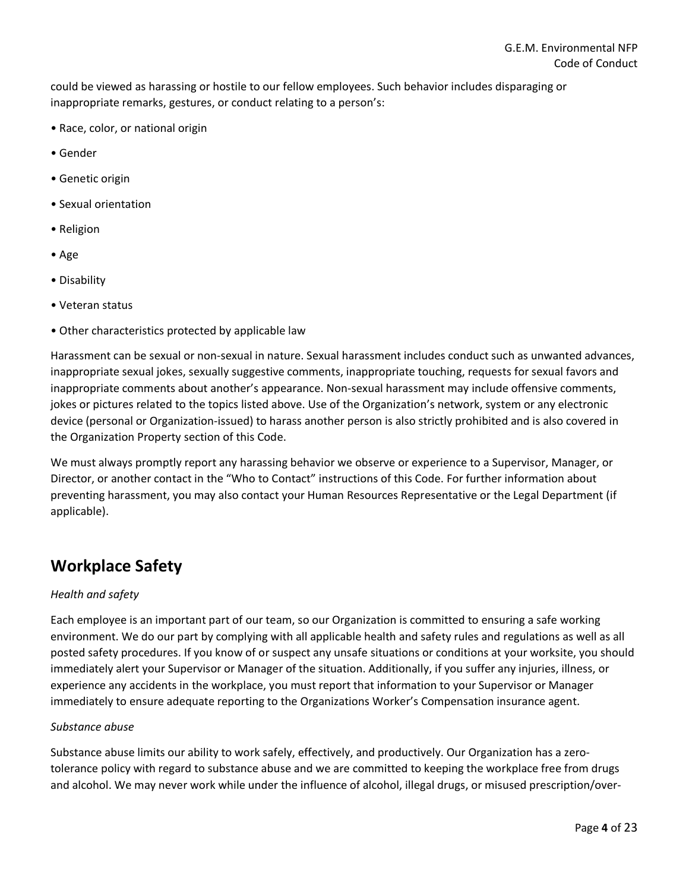could be viewed as harassing or hostile to our fellow employees. Such behavior includes disparaging or inappropriate remarks, gestures, or conduct relating to a person's:

- Race, color, or national origin
- Gender
- Genetic origin
- Sexual orientation
- Religion
- Age
- Disability
- Veteran status
- Other characteristics protected by applicable law

Harassment can be sexual or non-sexual in nature. Sexual harassment includes conduct such as unwanted advances, inappropriate sexual jokes, sexually suggestive comments, inappropriate touching, requests for sexual favors and inappropriate comments about another's appearance. Non-sexual harassment may include offensive comments, jokes or pictures related to the topics listed above. Use of the Organization's network, system or any electronic device (personal or Organization-issued) to harass another person is also strictly prohibited and is also covered in the Organization Property section of this Code.

We must always promptly report any harassing behavior we observe or experience to a Supervisor, Manager, or Director, or another contact in the "Who to Contact" instructions of this Code. For further information about preventing harassment, you may also contact your Human Resources Representative or the Legal Department (if applicable).

## **Workplace Safety**

## *Health and safety*

Each employee is an important part of our team, so our Organization is committed to ensuring a safe working environment. We do our part by complying with all applicable health and safety rules and regulations as well as all posted safety procedures. If you know of or suspect any unsafe situations or conditions at your worksite, you should immediately alert your Supervisor or Manager of the situation. Additionally, if you suffer any injuries, illness, or experience any accidents in the workplace, you must report that information to your Supervisor or Manager immediately to ensure adequate reporting to the Organizations Worker's Compensation insurance agent.

## *Substance abuse*

Substance abuse limits our ability to work safely, effectively, and productively. Our Organization has a zerotolerance policy with regard to substance abuse and we are committed to keeping the workplace free from drugs and alcohol. We may never work while under the influence of alcohol, illegal drugs, or misused prescription/over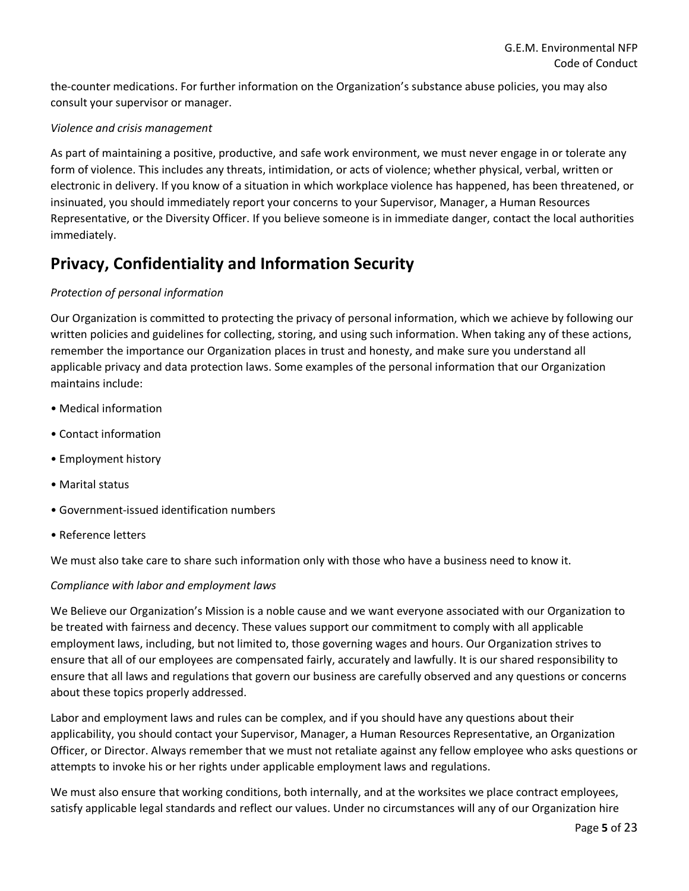the-counter medications. For further information on the Organization's substance abuse policies, you may also consult your supervisor or manager.

## *Violence and crisis management*

As part of maintaining a positive, productive, and safe work environment, we must never engage in or tolerate any form of violence. This includes any threats, intimidation, or acts of violence; whether physical, verbal, written or electronic in delivery. If you know of a situation in which workplace violence has happened, has been threatened, or insinuated, you should immediately report your concerns to your Supervisor, Manager, a Human Resources Representative, or the Diversity Officer. If you believe someone is in immediate danger, contact the local authorities immediately.

## **Privacy, Confidentiality and Information Security**

## *Protection of personal information*

Our Organization is committed to protecting the privacy of personal information, which we achieve by following our written policies and guidelines for collecting, storing, and using such information. When taking any of these actions, remember the importance our Organization places in trust and honesty, and make sure you understand all applicable privacy and data protection laws. Some examples of the personal information that our Organization maintains include:

- Medical information
- Contact information
- Employment history
- Marital status
- Government-issued identification numbers
- Reference letters

We must also take care to share such information only with those who have a business need to know it.

## *Compliance with labor and employment laws*

We Believe our Organization's Mission is a noble cause and we want everyone associated with our Organization to be treated with fairness and decency. These values support our commitment to comply with all applicable employment laws, including, but not limited to, those governing wages and hours. Our Organization strives to ensure that all of our employees are compensated fairly, accurately and lawfully. It is our shared responsibility to ensure that all laws and regulations that govern our business are carefully observed and any questions or concerns about these topics properly addressed.

Labor and employment laws and rules can be complex, and if you should have any questions about their applicability, you should contact your Supervisor, Manager, a Human Resources Representative, an Organization Officer, or Director. Always remember that we must not retaliate against any fellow employee who asks questions or attempts to invoke his or her rights under applicable employment laws and regulations.

We must also ensure that working conditions, both internally, and at the worksites we place contract employees, satisfy applicable legal standards and reflect our values. Under no circumstances will any of our Organization hire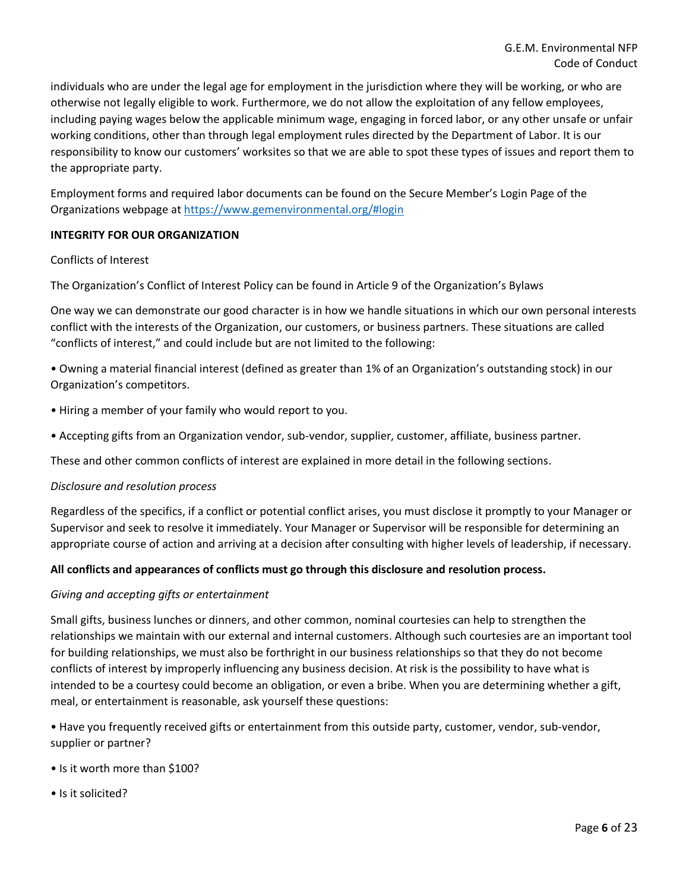individuals who are under the legal age for employment in the jurisdiction where they will be working, or who are otherwise not legally eligible to work. Furthermore, we do not allow the exploitation of any fellow employees, including paying wages below the applicable minimum wage, engaging in forced labor, or any other unsafe or unfair working conditions, other than through legal employment rules directed by the Department of Labor. It is our responsibility to know our customers' worksites so that we are able to spot these types of issues and report them to the appropriate party.

Employment forms and required labor documents can be found on the Secure Member's Login Page of the Organizations webpage at<https://www.gemenvironmental.org/#login>

## **INTEGRITY FOR OUR ORGANIZATION**

## Conflicts of Interest

The Organization's Conflict of Interest Policy can be found in Article 9 of the Organization's Bylaws

One way we can demonstrate our good character is in how we handle situations in which our own personal interests conflict with the interests of the Organization, our customers, or business partners. These situations are called "conflicts of interest," and could include but are not limited to the following:

• Owning a material financial interest (defined as greater than 1% of an Organization's outstanding stock) in our Organization's competitors.

- Hiring a member of your family who would report to you.
- Accepting gifts from an Organization vendor, sub-vendor, supplier, customer, affiliate, business partner.

These and other common conflicts of interest are explained in more detail in the following sections.

## *Disclosure and resolution process*

Regardless of the specifics, if a conflict or potential conflict arises, you must disclose it promptly to your Manager or Supervisor and seek to resolve it immediately. Your Manager or Supervisor will be responsible for determining an appropriate course of action and arriving at a decision after consulting with higher levels of leadership, if necessary.

## **All conflicts and appearances of conflicts must go through this disclosure and resolution process.**

## *Giving and accepting gifts or entertainment*

Small gifts, business lunches or dinners, and other common, nominal courtesies can help to strengthen the relationships we maintain with our external and internal customers. Although such courtesies are an important tool for building relationships, we must also be forthright in our business relationships so that they do not become conflicts of interest by improperly influencing any business decision. At risk is the possibility to have what is intended to be a courtesy could become an obligation, or even a bribe. When you are determining whether a gift, meal, or entertainment is reasonable, ask yourself these questions:

• Have you frequently received gifts or entertainment from this outside party, customer, vendor, sub-vendor, supplier or partner?

- Is it worth more than \$100?
- Is it solicited?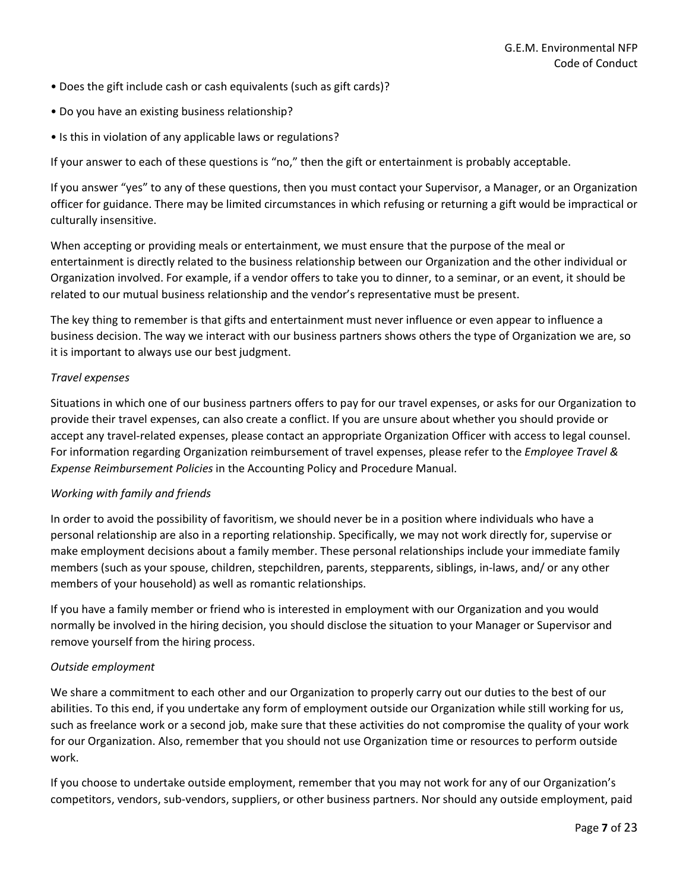- Does the gift include cash or cash equivalents (such as gift cards)?
- Do you have an existing business relationship?
- Is this in violation of any applicable laws or regulations?

If your answer to each of these questions is "no," then the gift or entertainment is probably acceptable.

If you answer "yes" to any of these questions, then you must contact your Supervisor, a Manager, or an Organization officer for guidance. There may be limited circumstances in which refusing or returning a gift would be impractical or culturally insensitive.

When accepting or providing meals or entertainment, we must ensure that the purpose of the meal or entertainment is directly related to the business relationship between our Organization and the other individual or Organization involved. For example, if a vendor offers to take you to dinner, to a seminar, or an event, it should be related to our mutual business relationship and the vendor's representative must be present.

The key thing to remember is that gifts and entertainment must never influence or even appear to influence a business decision. The way we interact with our business partners shows others the type of Organization we are, so it is important to always use our best judgment.

## *Travel expenses*

Situations in which one of our business partners offers to pay for our travel expenses, or asks for our Organization to provide their travel expenses, can also create a conflict. If you are unsure about whether you should provide or accept any travel-related expenses, please contact an appropriate Organization Officer with access to legal counsel. For information regarding Organization reimbursement of travel expenses, please refer to the *Employee Travel & Expense Reimbursement Policies* in the Accounting Policy and Procedure Manual.

## *Working with family and friends*

In order to avoid the possibility of favoritism, we should never be in a position where individuals who have a personal relationship are also in a reporting relationship. Specifically, we may not work directly for, supervise or make employment decisions about a family member. These personal relationships include your immediate family members (such as your spouse, children, stepchildren, parents, stepparents, siblings, in-laws, and/ or any other members of your household) as well as romantic relationships.

If you have a family member or friend who is interested in employment with our Organization and you would normally be involved in the hiring decision, you should disclose the situation to your Manager or Supervisor and remove yourself from the hiring process.

## *Outside employment*

We share a commitment to each other and our Organization to properly carry out our duties to the best of our abilities. To this end, if you undertake any form of employment outside our Organization while still working for us, such as freelance work or a second job, make sure that these activities do not compromise the quality of your work for our Organization. Also, remember that you should not use Organization time or resources to perform outside work.

If you choose to undertake outside employment, remember that you may not work for any of our Organization's competitors, vendors, sub-vendors, suppliers, or other business partners. Nor should any outside employment, paid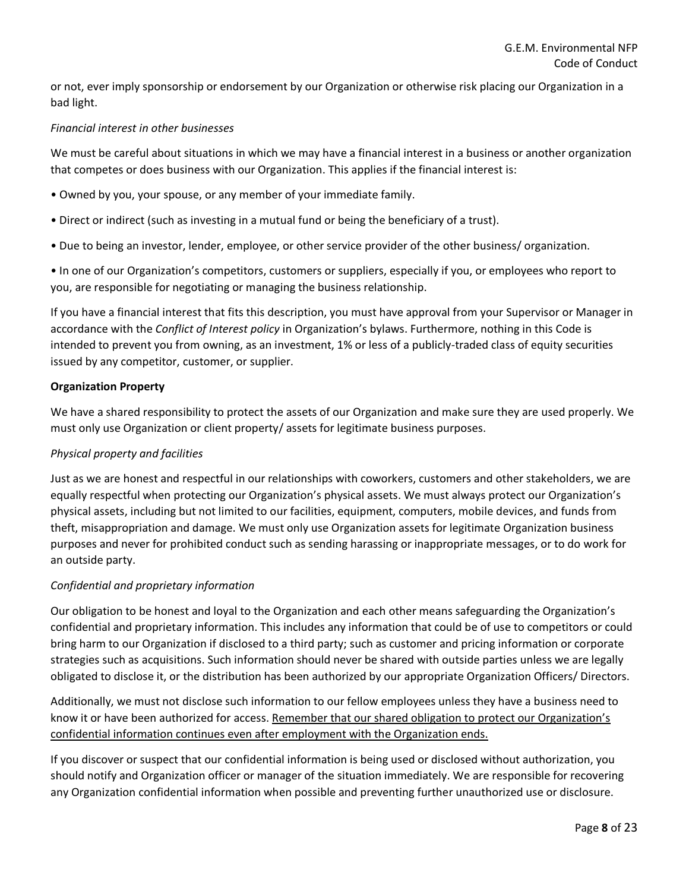or not, ever imply sponsorship or endorsement by our Organization or otherwise risk placing our Organization in a bad light.

## *Financial interest in other businesses*

We must be careful about situations in which we may have a financial interest in a business or another organization that competes or does business with our Organization. This applies if the financial interest is:

- Owned by you, your spouse, or any member of your immediate family.
- Direct or indirect (such as investing in a mutual fund or being the beneficiary of a trust).
- Due to being an investor, lender, employee, or other service provider of the other business/ organization.

• In one of our Organization's competitors, customers or suppliers, especially if you, or employees who report to you, are responsible for negotiating or managing the business relationship.

If you have a financial interest that fits this description, you must have approval from your Supervisor or Manager in accordance with the *Conflict of Interest policy* in Organization's bylaws. Furthermore, nothing in this Code is intended to prevent you from owning, as an investment, 1% or less of a publicly-traded class of equity securities issued by any competitor, customer, or supplier.

## **Organization Property**

We have a shared responsibility to protect the assets of our Organization and make sure they are used properly. We must only use Organization or client property/ assets for legitimate business purposes.

## *Physical property and facilities*

Just as we are honest and respectful in our relationships with coworkers, customers and other stakeholders, we are equally respectful when protecting our Organization's physical assets. We must always protect our Organization's physical assets, including but not limited to our facilities, equipment, computers, mobile devices, and funds from theft, misappropriation and damage. We must only use Organization assets for legitimate Organization business purposes and never for prohibited conduct such as sending harassing or inappropriate messages, or to do work for an outside party.

## *Confidential and proprietary information*

Our obligation to be honest and loyal to the Organization and each other means safeguarding the Organization's confidential and proprietary information. This includes any information that could be of use to competitors or could bring harm to our Organization if disclosed to a third party; such as customer and pricing information or corporate strategies such as acquisitions. Such information should never be shared with outside parties unless we are legally obligated to disclose it, or the distribution has been authorized by our appropriate Organization Officers/ Directors.

Additionally, we must not disclose such information to our fellow employees unless they have a business need to know it or have been authorized for access. Remember that our shared obligation to protect our Organization's confidential information continues even after employment with the Organization ends.

If you discover or suspect that our confidential information is being used or disclosed without authorization, you should notify and Organization officer or manager of the situation immediately. We are responsible for recovering any Organization confidential information when possible and preventing further unauthorized use or disclosure.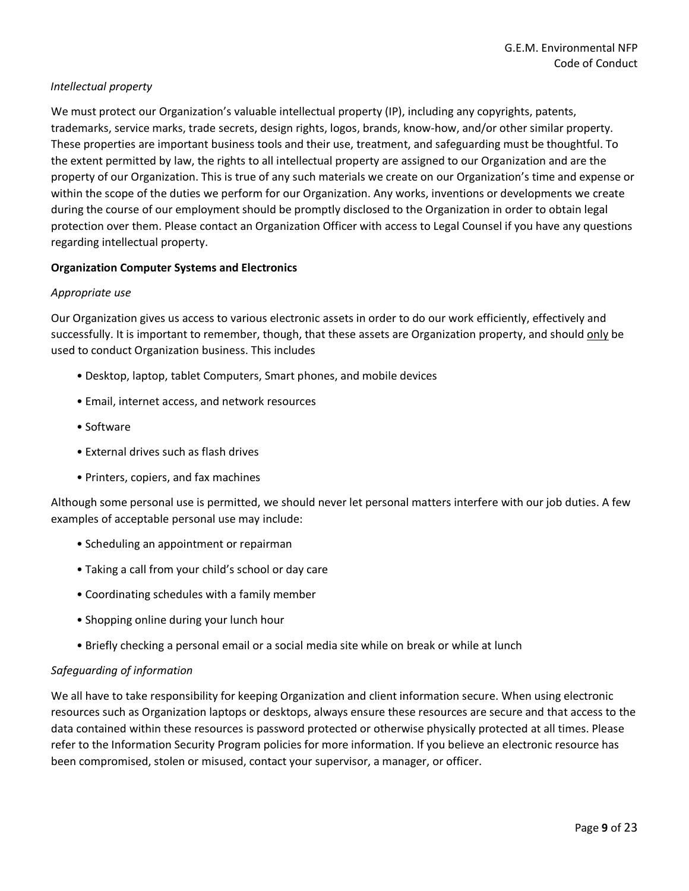## *Intellectual property*

We must protect our Organization's valuable intellectual property (IP), including any copyrights, patents, trademarks, service marks, trade secrets, design rights, logos, brands, know-how, and/or other similar property. These properties are important business tools and their use, treatment, and safeguarding must be thoughtful. To the extent permitted by law, the rights to all intellectual property are assigned to our Organization and are the property of our Organization. This is true of any such materials we create on our Organization's time and expense or within the scope of the duties we perform for our Organization. Any works, inventions or developments we create during the course of our employment should be promptly disclosed to the Organization in order to obtain legal protection over them. Please contact an Organization Officer with access to Legal Counsel if you have any questions regarding intellectual property.

## **Organization Computer Systems and Electronics**

## *Appropriate use*

Our Organization gives us access to various electronic assets in order to do our work efficiently, effectively and successfully. It is important to remember, though, that these assets are Organization property, and should only be used to conduct Organization business. This includes

- Desktop, laptop, tablet Computers, Smart phones, and mobile devices
- Email, internet access, and network resources
- Software
- External drives such as flash drives
- Printers, copiers, and fax machines

Although some personal use is permitted, we should never let personal matters interfere with our job duties. A few examples of acceptable personal use may include:

- Scheduling an appointment or repairman
- Taking a call from your child's school or day care
- Coordinating schedules with a family member
- Shopping online during your lunch hour
- Briefly checking a personal email or a social media site while on break or while at lunch

## *Safeguarding of information*

We all have to take responsibility for keeping Organization and client information secure. When using electronic resources such as Organization laptops or desktops, always ensure these resources are secure and that access to the data contained within these resources is password protected or otherwise physically protected at all times. Please refer to the Information Security Program policies for more information. If you believe an electronic resource has been compromised, stolen or misused, contact your supervisor, a manager, or officer.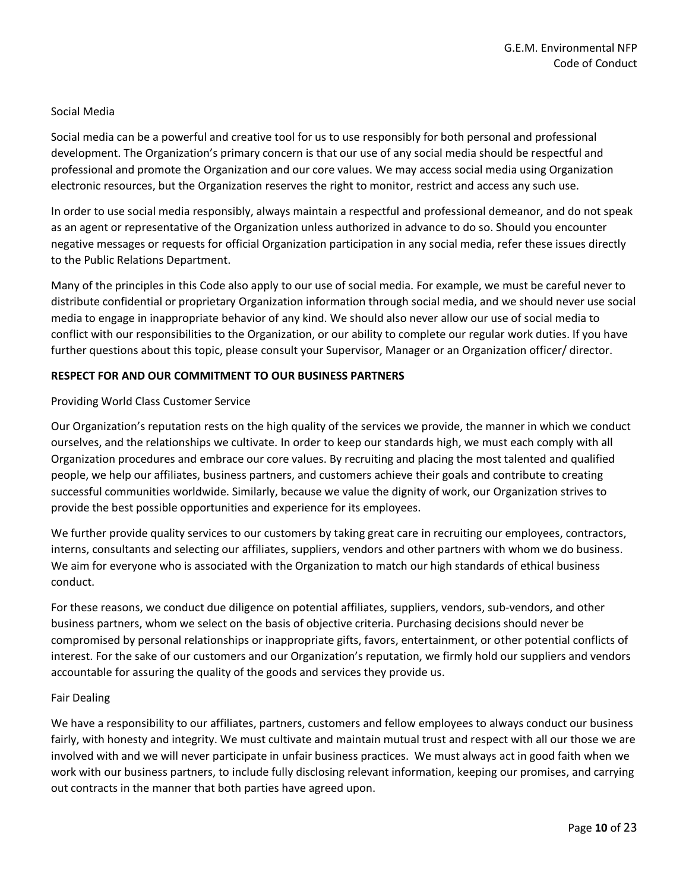## Social Media

Social media can be a powerful and creative tool for us to use responsibly for both personal and professional development. The Organization's primary concern is that our use of any social media should be respectful and professional and promote the Organization and our core values. We may access social media using Organization electronic resources, but the Organization reserves the right to monitor, restrict and access any such use.

In order to use social media responsibly, always maintain a respectful and professional demeanor, and do not speak as an agent or representative of the Organization unless authorized in advance to do so. Should you encounter negative messages or requests for official Organization participation in any social media, refer these issues directly to the Public Relations Department.

Many of the principles in this Code also apply to our use of social media. For example, we must be careful never to distribute confidential or proprietary Organization information through social media, and we should never use social media to engage in inappropriate behavior of any kind. We should also never allow our use of social media to conflict with our responsibilities to the Organization, or our ability to complete our regular work duties. If you have further questions about this topic, please consult your Supervisor, Manager or an Organization officer/ director.

#### **RESPECT FOR AND OUR COMMITMENT TO OUR BUSINESS PARTNERS**

#### Providing World Class Customer Service

Our Organization's reputation rests on the high quality of the services we provide, the manner in which we conduct ourselves, and the relationships we cultivate. In order to keep our standards high, we must each comply with all Organization procedures and embrace our core values. By recruiting and placing the most talented and qualified people, we help our affiliates, business partners, and customers achieve their goals and contribute to creating successful communities worldwide. Similarly, because we value the dignity of work, our Organization strives to provide the best possible opportunities and experience for its employees.

We further provide quality services to our customers by taking great care in recruiting our employees, contractors, interns, consultants and selecting our affiliates, suppliers, vendors and other partners with whom we do business. We aim for everyone who is associated with the Organization to match our high standards of ethical business conduct.

For these reasons, we conduct due diligence on potential affiliates, suppliers, vendors, sub-vendors, and other business partners, whom we select on the basis of objective criteria. Purchasing decisions should never be compromised by personal relationships or inappropriate gifts, favors, entertainment, or other potential conflicts of interest. For the sake of our customers and our Organization's reputation, we firmly hold our suppliers and vendors accountable for assuring the quality of the goods and services they provide us.

#### Fair Dealing

We have a responsibility to our affiliates, partners, customers and fellow employees to always conduct our business fairly, with honesty and integrity. We must cultivate and maintain mutual trust and respect with all our those we are involved with and we will never participate in unfair business practices. We must always act in good faith when we work with our business partners, to include fully disclosing relevant information, keeping our promises, and carrying out contracts in the manner that both parties have agreed upon.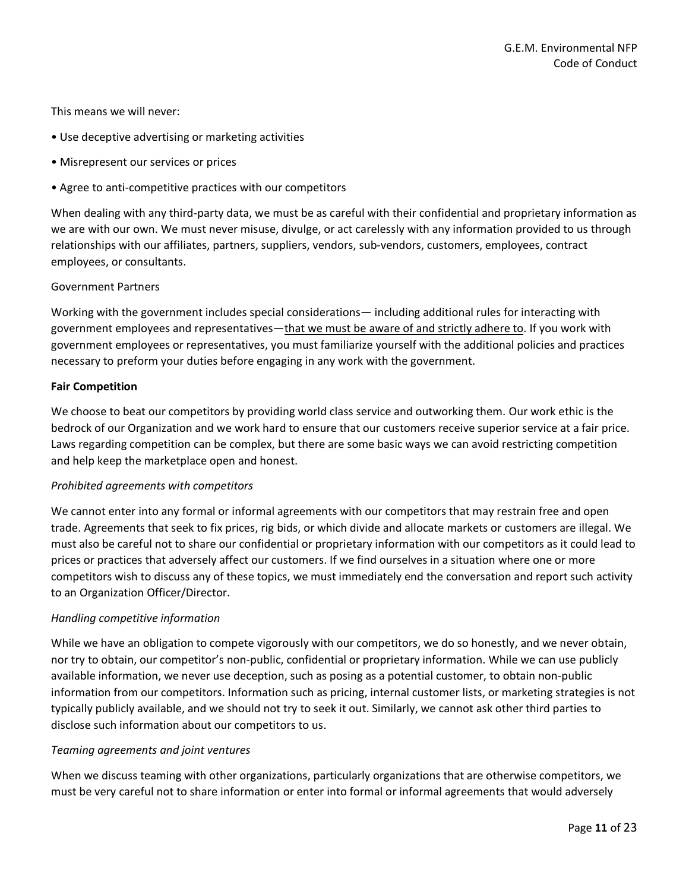This means we will never:

- Use deceptive advertising or marketing activities
- Misrepresent our services or prices
- Agree to anti-competitive practices with our competitors

When dealing with any third-party data, we must be as careful with their confidential and proprietary information as we are with our own. We must never misuse, divulge, or act carelessly with any information provided to us through relationships with our affiliates, partners, suppliers, vendors, sub-vendors, customers, employees, contract employees, or consultants.

#### Government Partners

Working with the government includes special considerations— including additional rules for interacting with government employees and representatives—that we must be aware of and strictly adhere to. If you work with government employees or representatives, you must familiarize yourself with the additional policies and practices necessary to preform your duties before engaging in any work with the government.

#### **Fair Competition**

We choose to beat our competitors by providing world class service and outworking them. Our work ethic is the bedrock of our Organization and we work hard to ensure that our customers receive superior service at a fair price. Laws regarding competition can be complex, but there are some basic ways we can avoid restricting competition and help keep the marketplace open and honest.

#### *Prohibited agreements with competitors*

We cannot enter into any formal or informal agreements with our competitors that may restrain free and open trade. Agreements that seek to fix prices, rig bids, or which divide and allocate markets or customers are illegal. We must also be careful not to share our confidential or proprietary information with our competitors as it could lead to prices or practices that adversely affect our customers. If we find ourselves in a situation where one or more competitors wish to discuss any of these topics, we must immediately end the conversation and report such activity to an Organization Officer/Director.

#### *Handling competitive information*

While we have an obligation to compete vigorously with our competitors, we do so honestly, and we never obtain, nor try to obtain, our competitor's non-public, confidential or proprietary information. While we can use publicly available information, we never use deception, such as posing as a potential customer, to obtain non-public information from our competitors. Information such as pricing, internal customer lists, or marketing strategies is not typically publicly available, and we should not try to seek it out. Similarly, we cannot ask other third parties to disclose such information about our competitors to us.

#### *Teaming agreements and joint ventures*

When we discuss teaming with other organizations, particularly organizations that are otherwise competitors, we must be very careful not to share information or enter into formal or informal agreements that would adversely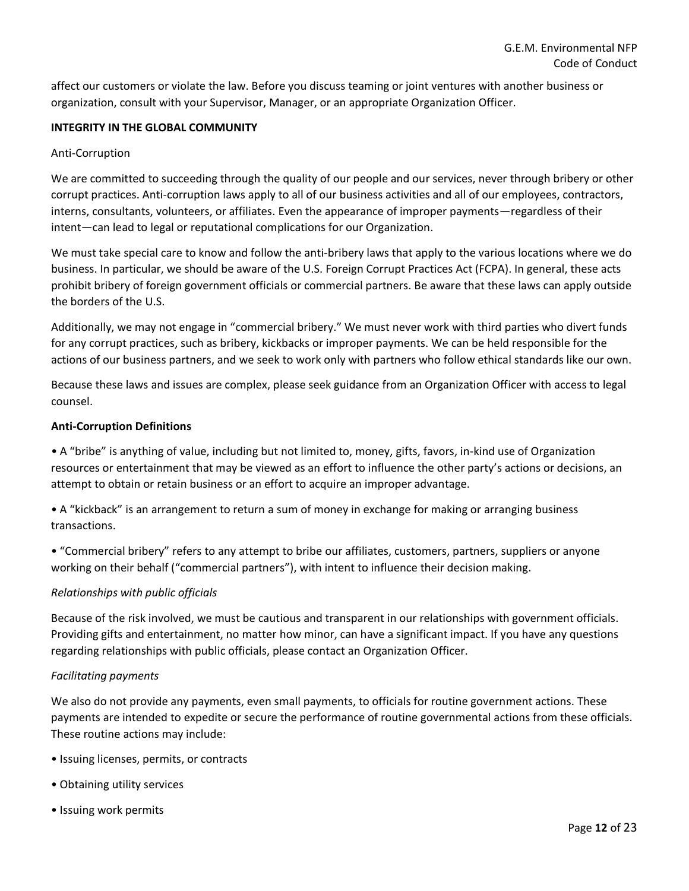affect our customers or violate the law. Before you discuss teaming or joint ventures with another business or organization, consult with your Supervisor, Manager, or an appropriate Organization Officer.

## **INTEGRITY IN THE GLOBAL COMMUNITY**

#### Anti-Corruption

We are committed to succeeding through the quality of our people and our services, never through bribery or other corrupt practices. Anti-corruption laws apply to all of our business activities and all of our employees, contractors, interns, consultants, volunteers, or affiliates. Even the appearance of improper payments—regardless of their intent—can lead to legal or reputational complications for our Organization.

We must take special care to know and follow the anti-bribery laws that apply to the various locations where we do business. In particular, we should be aware of the U.S. Foreign Corrupt Practices Act (FCPA). In general, these acts prohibit bribery of foreign government officials or commercial partners. Be aware that these laws can apply outside the borders of the U.S.

Additionally, we may not engage in "commercial bribery." We must never work with third parties who divert funds for any corrupt practices, such as bribery, kickbacks or improper payments. We can be held responsible for the actions of our business partners, and we seek to work only with partners who follow ethical standards like our own.

Because these laws and issues are complex, please seek guidance from an Organization Officer with access to legal counsel.

#### **Anti-Corruption Definitions**

• A "bribe" is anything of value, including but not limited to, money, gifts, favors, in-kind use of Organization resources or entertainment that may be viewed as an effort to influence the other party's actions or decisions, an attempt to obtain or retain business or an effort to acquire an improper advantage.

• A "kickback" is an arrangement to return a sum of money in exchange for making or arranging business transactions.

• "Commercial bribery" refers to any attempt to bribe our affiliates, customers, partners, suppliers or anyone working on their behalf ("commercial partners"), with intent to influence their decision making.

#### *Relationships with public officials*

Because of the risk involved, we must be cautious and transparent in our relationships with government officials. Providing gifts and entertainment, no matter how minor, can have a significant impact. If you have any questions regarding relationships with public officials, please contact an Organization Officer.

#### *Facilitating payments*

We also do not provide any payments, even small payments, to officials for routine government actions. These payments are intended to expedite or secure the performance of routine governmental actions from these officials. These routine actions may include:

- Issuing licenses, permits, or contracts
- Obtaining utility services
- Issuing work permits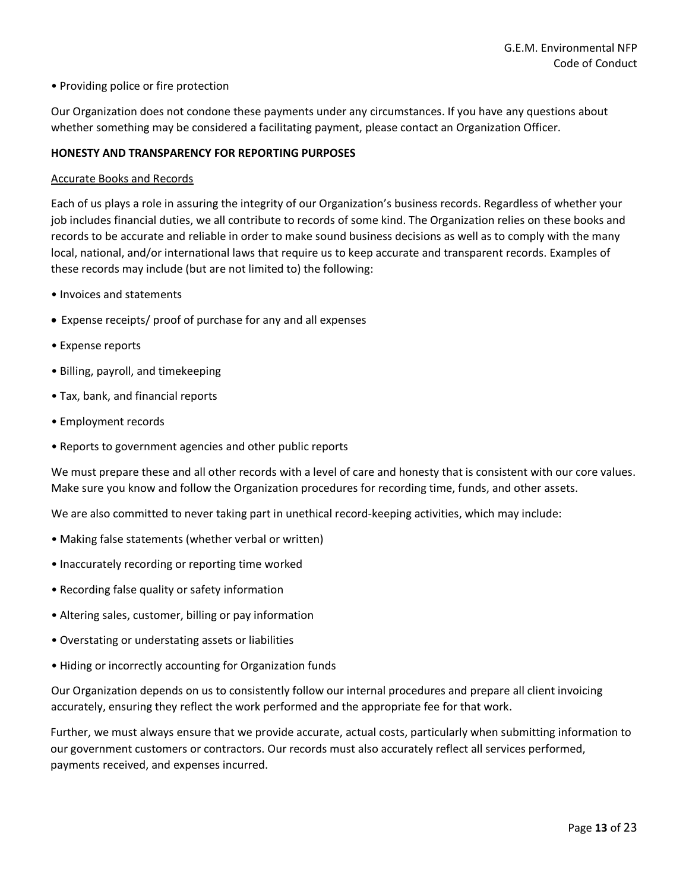### • Providing police or fire protection

Our Organization does not condone these payments under any circumstances. If you have any questions about whether something may be considered a facilitating payment, please contact an Organization Officer.

#### **HONESTY AND TRANSPARENCY FOR REPORTING PURPOSES**

#### Accurate Books and Records

Each of us plays a role in assuring the integrity of our Organization's business records. Regardless of whether your job includes financial duties, we all contribute to records of some kind. The Organization relies on these books and records to be accurate and reliable in order to make sound business decisions as well as to comply with the many local, national, and/or international laws that require us to keep accurate and transparent records. Examples of these records may include (but are not limited to) the following:

- Invoices and statements
- Expense receipts/ proof of purchase for any and all expenses
- Expense reports
- Billing, payroll, and timekeeping
- Tax, bank, and financial reports
- Employment records
- Reports to government agencies and other public reports

We must prepare these and all other records with a level of care and honesty that is consistent with our core values. Make sure you know and follow the Organization procedures for recording time, funds, and other assets.

We are also committed to never taking part in unethical record-keeping activities, which may include:

- Making false statements (whether verbal or written)
- Inaccurately recording or reporting time worked
- Recording false quality or safety information
- Altering sales, customer, billing or pay information
- Overstating or understating assets or liabilities
- Hiding or incorrectly accounting for Organization funds

Our Organization depends on us to consistently follow our internal procedures and prepare all client invoicing accurately, ensuring they reflect the work performed and the appropriate fee for that work.

Further, we must always ensure that we provide accurate, actual costs, particularly when submitting information to our government customers or contractors. Our records must also accurately reflect all services performed, payments received, and expenses incurred.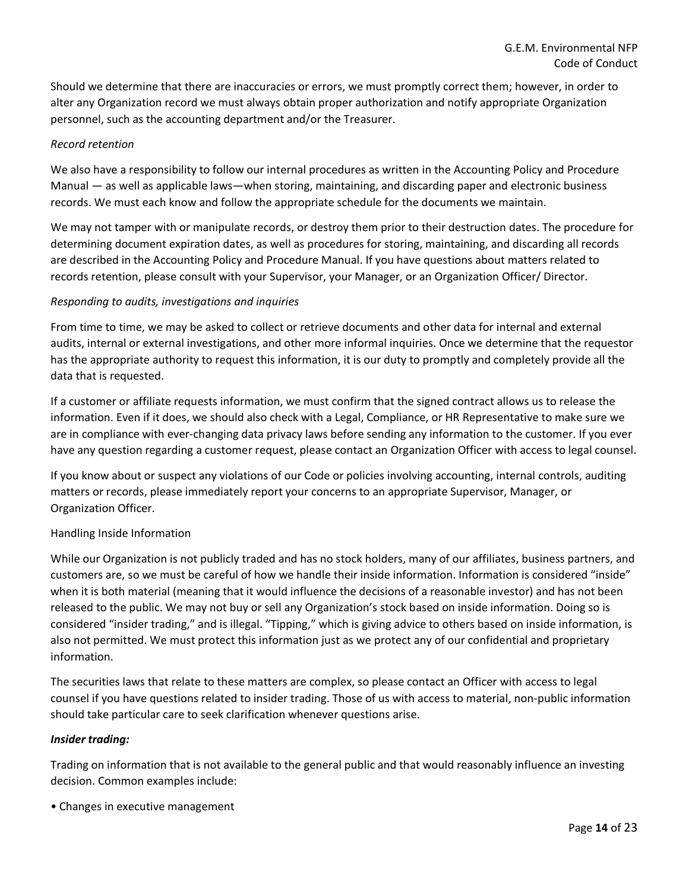Should we determine that there are inaccuracies or errors, we must promptly correct them; however, in order to alter any Organization record we must always obtain proper authorization and notify appropriate Organization personnel, such as the accounting department and/or the Treasurer.

## *Record retention*

We also have a responsibility to follow our internal procedures as written in the Accounting Policy and Procedure Manual — as well as applicable laws—when storing, maintaining, and discarding paper and electronic business records. We must each know and follow the appropriate schedule for the documents we maintain.

We may not tamper with or manipulate records, or destroy them prior to their destruction dates. The procedure for determining document expiration dates, as well as procedures for storing, maintaining, and discarding all records are described in the Accounting Policy and Procedure Manual. If you have questions about matters related to records retention, please consult with your Supervisor, your Manager, or an Organization Officer/ Director.

## *Responding to audits, investigations and inquiries*

From time to time, we may be asked to collect or retrieve documents and other data for internal and external audits, internal or external investigations, and other more informal inquiries. Once we determine that the requestor has the appropriate authority to request this information, it is our duty to promptly and completely provide all the data that is requested.

If a customer or affiliate requests information, we must confirm that the signed contract allows us to release the information. Even if it does, we should also check with a Legal, Compliance, or HR Representative to make sure we are in compliance with ever-changing data privacy laws before sending any information to the customer. If you ever have any question regarding a customer request, please contact an Organization Officer with access to legal counsel.

If you know about or suspect any violations of our Code or policies involving accounting, internal controls, auditing matters or records, please immediately report your concerns to an appropriate Supervisor, Manager, or Organization Officer.

## Handling Inside Information

While our Organization is not publicly traded and has no stock holders, many of our affiliates, business partners, and customers are, so we must be careful of how we handle their inside information. Information is considered "inside" when it is both material (meaning that it would influence the decisions of a reasonable investor) and has not been released to the public. We may not buy or sell any Organization's stock based on inside information. Doing so is considered "insider trading," and is illegal. "Tipping," which is giving advice to others based on inside information, is also not permitted. We must protect this information just as we protect any of our confidential and proprietary information.

The securities laws that relate to these matters are complex, so please contact an Officer with access to legal counsel if you have questions related to insider trading. Those of us with access to material, non-public information should take particular care to seek clarification whenever questions arise.

## *Insider trading:*

Trading on information that is not available to the general public and that would reasonably influence an investing decision. Common examples include:

• Changes in executive management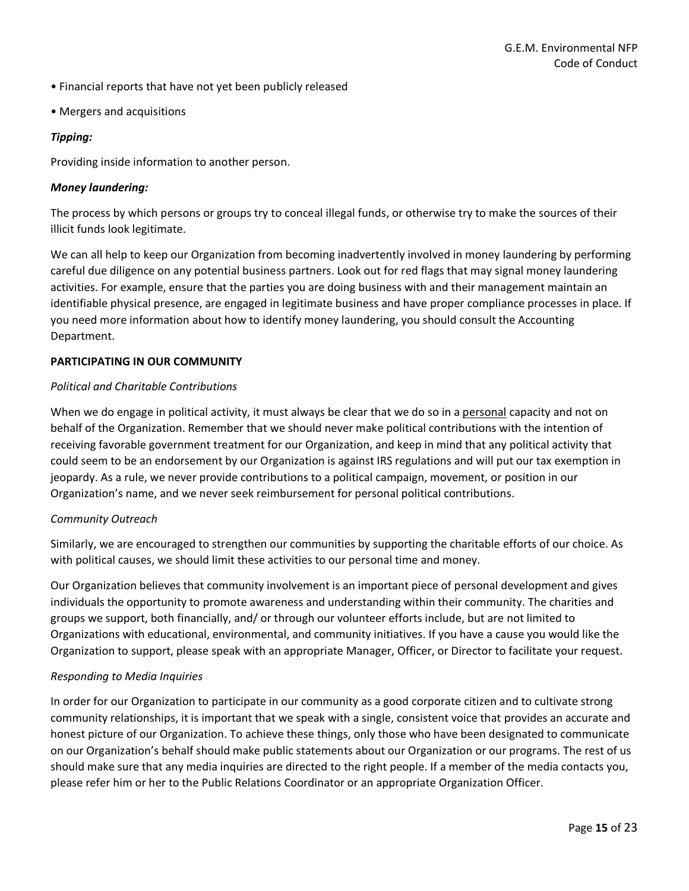- Financial reports that have not yet been publicly released
- Mergers and acquisitions

## *Tipping:*

Providing inside information to another person.

## *Money laundering:*

The process by which persons or groups try to conceal illegal funds, or otherwise try to make the sources of their illicit funds look legitimate.

We can all help to keep our Organization from becoming inadvertently involved in money laundering by performing careful due diligence on any potential business partners. Look out for red flags that may signal money laundering activities. For example, ensure that the parties you are doing business with and their management maintain an identifiable physical presence, are engaged in legitimate business and have proper compliance processes in place. If you need more information about how to identify money laundering, you should consult the Accounting Department.

## **PARTICIPATING IN OUR COMMUNITY**

## *Political and Charitable Contributions*

When we do engage in political activity, it must always be clear that we do so in a personal capacity and not on behalf of the Organization. Remember that we should never make political contributions with the intention of receiving favorable government treatment for our Organization, and keep in mind that any political activity that could seem to be an endorsement by our Organization is against IRS regulations and will put our tax exemption in jeopardy. As a rule, we never provide contributions to a political campaign, movement, or position in our Organization's name, and we never seek reimbursement for personal political contributions.

## *Community Outreach*

Similarly, we are encouraged to strengthen our communities by supporting the charitable efforts of our choice. As with political causes, we should limit these activities to our personal time and money.

Our Organization believes that community involvement is an important piece of personal development and gives individuals the opportunity to promote awareness and understanding within their community. The charities and groups we support, both financially, and/ or through our volunteer efforts include, but are not limited to Organizations with educational, environmental, and community initiatives. If you have a cause you would like the Organization to support, please speak with an appropriate Manager, Officer, or Director to facilitate your request.

## *Responding to Media Inquiries*

In order for our Organization to participate in our community as a good corporate citizen and to cultivate strong community relationships, it is important that we speak with a single, consistent voice that provides an accurate and honest picture of our Organization. To achieve these things, only those who have been designated to communicate on our Organization's behalf should make public statements about our Organization or our programs. The rest of us should make sure that any media inquiries are directed to the right people. If a member of the media contacts you, please refer him or her to the Public Relations Coordinator or an appropriate Organization Officer.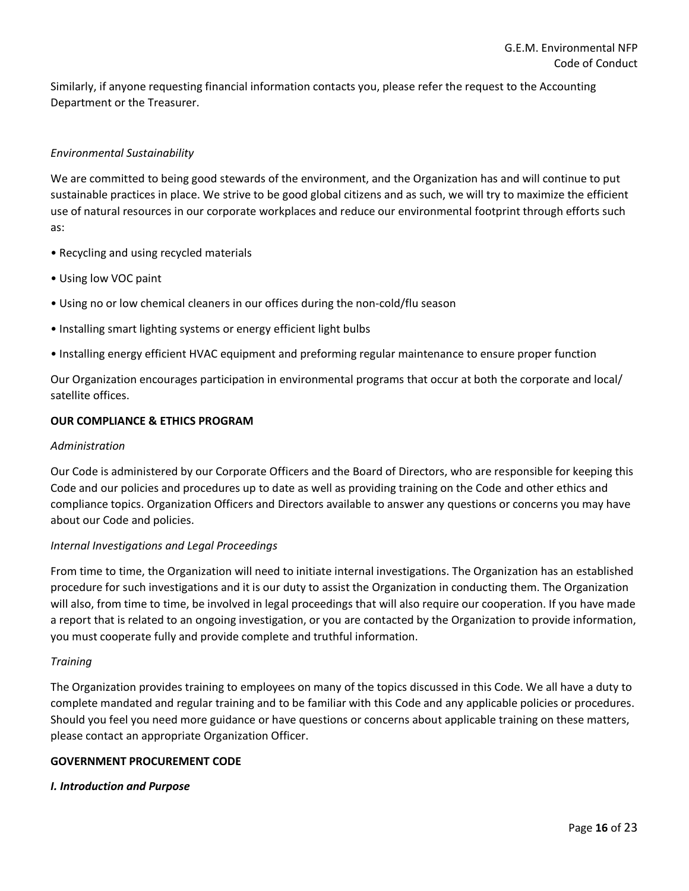Similarly, if anyone requesting financial information contacts you, please refer the request to the Accounting Department or the Treasurer.

## *Environmental Sustainability*

We are committed to being good stewards of the environment, and the Organization has and will continue to put sustainable practices in place. We strive to be good global citizens and as such, we will try to maximize the efficient use of natural resources in our corporate workplaces and reduce our environmental footprint through efforts such as:

- Recycling and using recycled materials
- Using low VOC paint
- Using no or low chemical cleaners in our offices during the non-cold/flu season
- Installing smart lighting systems or energy efficient light bulbs
- Installing energy efficient HVAC equipment and preforming regular maintenance to ensure proper function

Our Organization encourages participation in environmental programs that occur at both the corporate and local/ satellite offices.

## **OUR COMPLIANCE & ETHICS PROGRAM**

#### *Administration*

Our Code is administered by our Corporate Officers and the Board of Directors, who are responsible for keeping this Code and our policies and procedures up to date as well as providing training on the Code and other ethics and compliance topics. Organization Officers and Directors available to answer any questions or concerns you may have about our Code and policies.

## *Internal Investigations and Legal Proceedings*

From time to time, the Organization will need to initiate internal investigations. The Organization has an established procedure for such investigations and it is our duty to assist the Organization in conducting them. The Organization will also, from time to time, be involved in legal proceedings that will also require our cooperation. If you have made a report that is related to an ongoing investigation, or you are contacted by the Organization to provide information, you must cooperate fully and provide complete and truthful information.

## *Training*

The Organization provides training to employees on many of the topics discussed in this Code. We all have a duty to complete mandated and regular training and to be familiar with this Code and any applicable policies or procedures. Should you feel you need more guidance or have questions or concerns about applicable training on these matters, please contact an appropriate Organization Officer.

## **GOVERNMENT PROCUREMENT CODE**

## *I. Introduction and Purpose*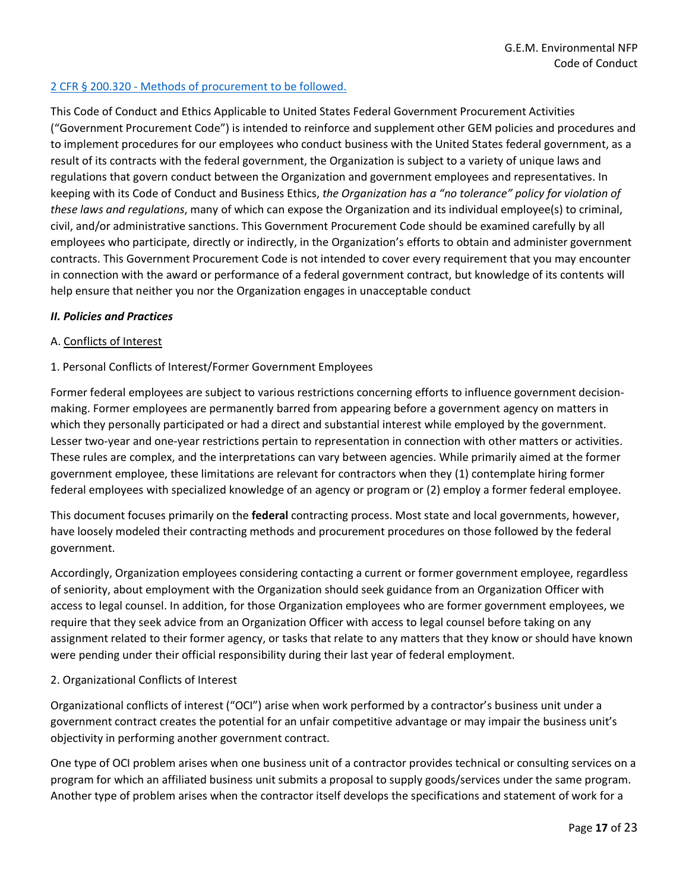## 2 CFR § 200.320 - [Methods of procurement to be followed.](https://www.gpo.gov/fdsys/granule/CFR-2014-title2-vol1/CFR-2014-title2-vol1-sec200-320)

This Code of Conduct and Ethics Applicable to United States Federal Government Procurement Activities ("Government Procurement Code") is intended to reinforce and supplement other GEM policies and procedures and to implement procedures for our employees who conduct business with the United States federal government, as a result of its contracts with the federal government, the Organization is subject to a variety of unique laws and regulations that govern conduct between the Organization and government employees and representatives. In keeping with its Code of Conduct and Business Ethics, *the Organization has a "no tolerance" policy for violation of these laws and regulations*, many of which can expose the Organization and its individual employee(s) to criminal, civil, and/or administrative sanctions. This Government Procurement Code should be examined carefully by all employees who participate, directly or indirectly, in the Organization's efforts to obtain and administer government contracts. This Government Procurement Code is not intended to cover every requirement that you may encounter in connection with the award or performance of a federal government contract, but knowledge of its contents will help ensure that neither you nor the Organization engages in unacceptable conduct

#### *II. Policies and Practices*

#### A. Conflicts of Interest

## 1. Personal Conflicts of Interest/Former Government Employees

Former federal employees are subject to various restrictions concerning efforts to influence government decisionmaking. Former employees are permanently barred from appearing before a government agency on matters in which they personally participated or had a direct and substantial interest while employed by the government. Lesser two-year and one-year restrictions pertain to representation in connection with other matters or activities. These rules are complex, and the interpretations can vary between agencies. While primarily aimed at the former government employee, these limitations are relevant for contractors when they (1) contemplate hiring former federal employees with specialized knowledge of an agency or program or (2) employ a former federal employee.

This document focuses primarily on the **federal** contracting process. Most state and local governments, however, have loosely modeled their contracting methods and procurement procedures on those followed by the federal government.

Accordingly, Organization employees considering contacting a current or former government employee, regardless of seniority, about employment with the Organization should seek guidance from an Organization Officer with access to legal counsel. In addition, for those Organization employees who are former government employees, we require that they seek advice from an Organization Officer with access to legal counsel before taking on any assignment related to their former agency, or tasks that relate to any matters that they know or should have known were pending under their official responsibility during their last year of federal employment.

## 2. Organizational Conflicts of Interest

Organizational conflicts of interest ("OCI") arise when work performed by a contractor's business unit under a government contract creates the potential for an unfair competitive advantage or may impair the business unit's objectivity in performing another government contract.

One type of OCI problem arises when one business unit of a contractor provides technical or consulting services on a program for which an affiliated business unit submits a proposal to supply goods/services under the same program. Another type of problem arises when the contractor itself develops the specifications and statement of work for a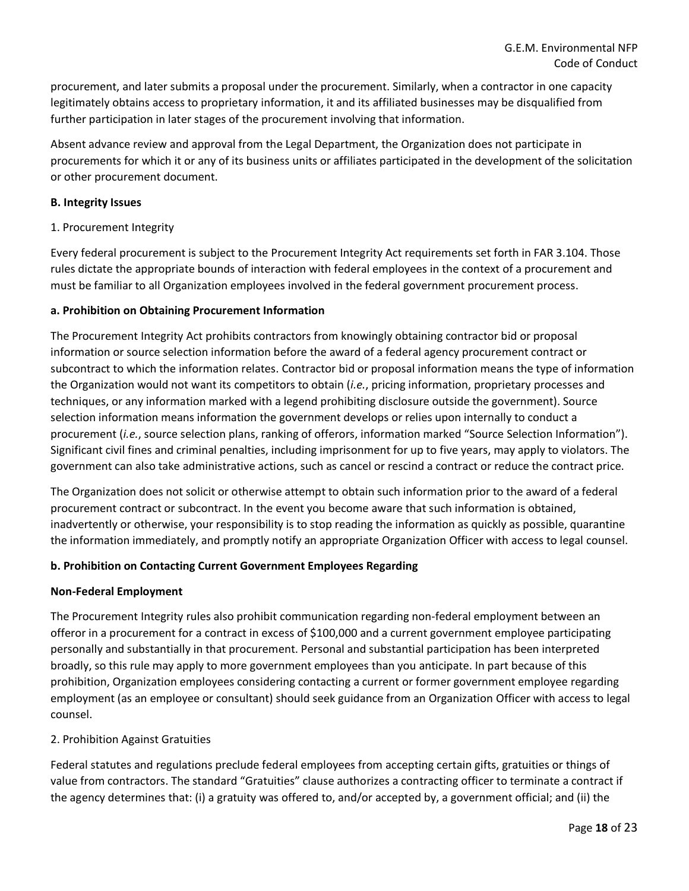procurement, and later submits a proposal under the procurement. Similarly, when a contractor in one capacity legitimately obtains access to proprietary information, it and its affiliated businesses may be disqualified from further participation in later stages of the procurement involving that information.

Absent advance review and approval from the Legal Department, the Organization does not participate in procurements for which it or any of its business units or affiliates participated in the development of the solicitation or other procurement document.

## **B. Integrity Issues**

1. Procurement Integrity

Every federal procurement is subject to the Procurement Integrity Act requirements set forth in FAR 3.104. Those rules dictate the appropriate bounds of interaction with federal employees in the context of a procurement and must be familiar to all Organization employees involved in the federal government procurement process.

## **a. Prohibition on Obtaining Procurement Information**

The Procurement Integrity Act prohibits contractors from knowingly obtaining contractor bid or proposal information or source selection information before the award of a federal agency procurement contract or subcontract to which the information relates. Contractor bid or proposal information means the type of information the Organization would not want its competitors to obtain (*i.e.*, pricing information, proprietary processes and techniques, or any information marked with a legend prohibiting disclosure outside the government). Source selection information means information the government develops or relies upon internally to conduct a procurement (*i.e.*, source selection plans, ranking of offerors, information marked "Source Selection Information"). Significant civil fines and criminal penalties, including imprisonment for up to five years, may apply to violators. The government can also take administrative actions, such as cancel or rescind a contract or reduce the contract price.

The Organization does not solicit or otherwise attempt to obtain such information prior to the award of a federal procurement contract or subcontract. In the event you become aware that such information is obtained, inadvertently or otherwise, your responsibility is to stop reading the information as quickly as possible, quarantine the information immediately, and promptly notify an appropriate Organization Officer with access to legal counsel.

## **b. Prohibition on Contacting Current Government Employees Regarding**

## **Non-Federal Employment**

The Procurement Integrity rules also prohibit communication regarding non-federal employment between an offeror in a procurement for a contract in excess of \$100,000 and a current government employee participating personally and substantially in that procurement. Personal and substantial participation has been interpreted broadly, so this rule may apply to more government employees than you anticipate. In part because of this prohibition, Organization employees considering contacting a current or former government employee regarding employment (as an employee or consultant) should seek guidance from an Organization Officer with access to legal counsel.

## 2. Prohibition Against Gratuities

Federal statutes and regulations preclude federal employees from accepting certain gifts, gratuities or things of value from contractors. The standard "Gratuities" clause authorizes a contracting officer to terminate a contract if the agency determines that: (i) a gratuity was offered to, and/or accepted by, a government official; and (ii) the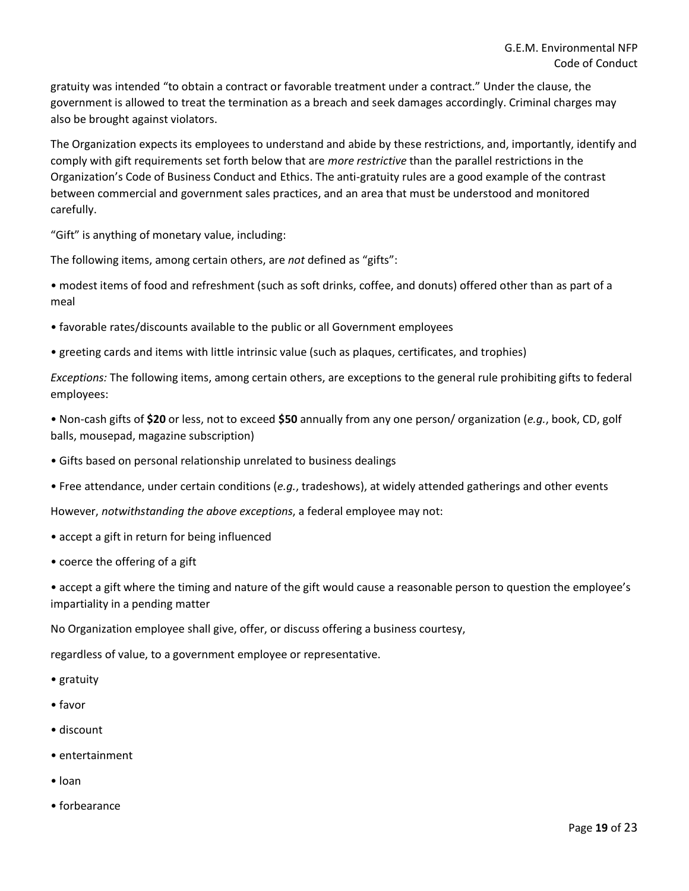gratuity was intended "to obtain a contract or favorable treatment under a contract." Under the clause, the government is allowed to treat the termination as a breach and seek damages accordingly. Criminal charges may also be brought against violators.

The Organization expects its employees to understand and abide by these restrictions, and, importantly, identify and comply with gift requirements set forth below that are *more restrictive* than the parallel restrictions in the Organization's Code of Business Conduct and Ethics. The anti-gratuity rules are a good example of the contrast between commercial and government sales practices, and an area that must be understood and monitored carefully.

"Gift" is anything of monetary value, including:

The following items, among certain others, are *not* defined as "gifts":

• modest items of food and refreshment (such as soft drinks, coffee, and donuts) offered other than as part of a meal

- favorable rates/discounts available to the public or all Government employees
- greeting cards and items with little intrinsic value (such as plaques, certificates, and trophies)

*Exceptions:* The following items, among certain others, are exceptions to the general rule prohibiting gifts to federal employees:

• Non-cash gifts of **\$20** or less, not to exceed **\$50** annually from any one person/ organization (*e.g.*, book, CD, golf balls, mousepad, magazine subscription)

- Gifts based on personal relationship unrelated to business dealings
- Free attendance, under certain conditions (*e.g.*, tradeshows), at widely attended gatherings and other events

However, *notwithstanding the above exceptions*, a federal employee may not:

- accept a gift in return for being influenced
- coerce the offering of a gift

• accept a gift where the timing and nature of the gift would cause a reasonable person to question the employee's impartiality in a pending matter

No Organization employee shall give, offer, or discuss offering a business courtesy,

regardless of value, to a government employee or representative.

- gratuity
- favor
- discount
- entertainment
- loan
- forbearance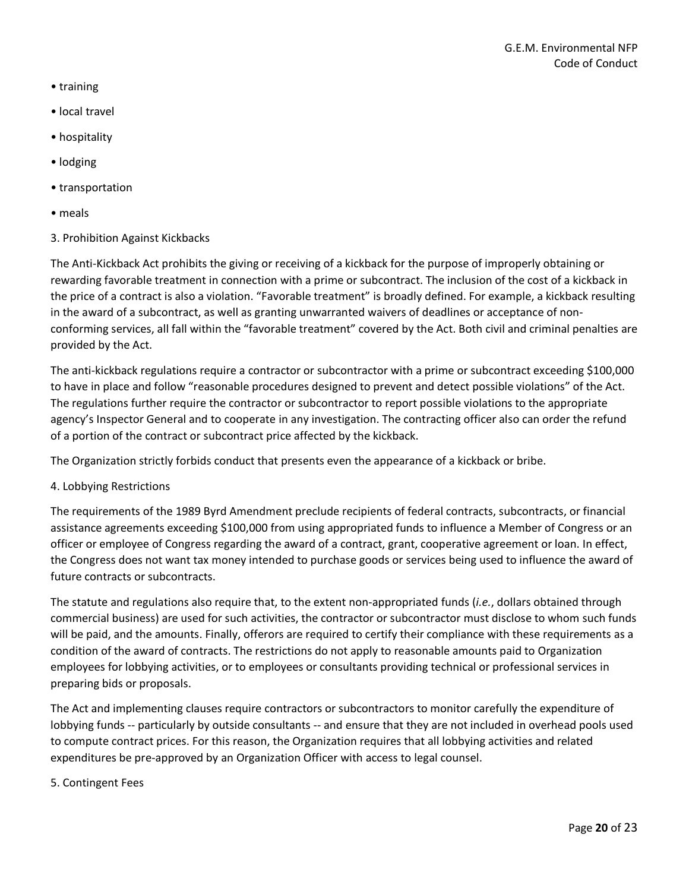- training
- local travel
- hospitality
- lodging
- transportation
- meals
- 3. Prohibition Against Kickbacks

The Anti-Kickback Act prohibits the giving or receiving of a kickback for the purpose of improperly obtaining or rewarding favorable treatment in connection with a prime or subcontract. The inclusion of the cost of a kickback in the price of a contract is also a violation. "Favorable treatment" is broadly defined. For example, a kickback resulting in the award of a subcontract, as well as granting unwarranted waivers of deadlines or acceptance of nonconforming services, all fall within the "favorable treatment" covered by the Act. Both civil and criminal penalties are provided by the Act.

The anti-kickback regulations require a contractor or subcontractor with a prime or subcontract exceeding \$100,000 to have in place and follow "reasonable procedures designed to prevent and detect possible violations" of the Act. The regulations further require the contractor or subcontractor to report possible violations to the appropriate agency's Inspector General and to cooperate in any investigation. The contracting officer also can order the refund of a portion of the contract or subcontract price affected by the kickback.

The Organization strictly forbids conduct that presents even the appearance of a kickback or bribe.

4. Lobbying Restrictions

The requirements of the 1989 Byrd Amendment preclude recipients of federal contracts, subcontracts, or financial assistance agreements exceeding \$100,000 from using appropriated funds to influence a Member of Congress or an officer or employee of Congress regarding the award of a contract, grant, cooperative agreement or loan. In effect, the Congress does not want tax money intended to purchase goods or services being used to influence the award of future contracts or subcontracts.

The statute and regulations also require that, to the extent non-appropriated funds (*i.e.*, dollars obtained through commercial business) are used for such activities, the contractor or subcontractor must disclose to whom such funds will be paid, and the amounts. Finally, offerors are required to certify their compliance with these requirements as a condition of the award of contracts. The restrictions do not apply to reasonable amounts paid to Organization employees for lobbying activities, or to employees or consultants providing technical or professional services in preparing bids or proposals.

The Act and implementing clauses require contractors or subcontractors to monitor carefully the expenditure of lobbying funds -- particularly by outside consultants -- and ensure that they are not included in overhead pools used to compute contract prices. For this reason, the Organization requires that all lobbying activities and related expenditures be pre-approved by an Organization Officer with access to legal counsel.

#### 5. Contingent Fees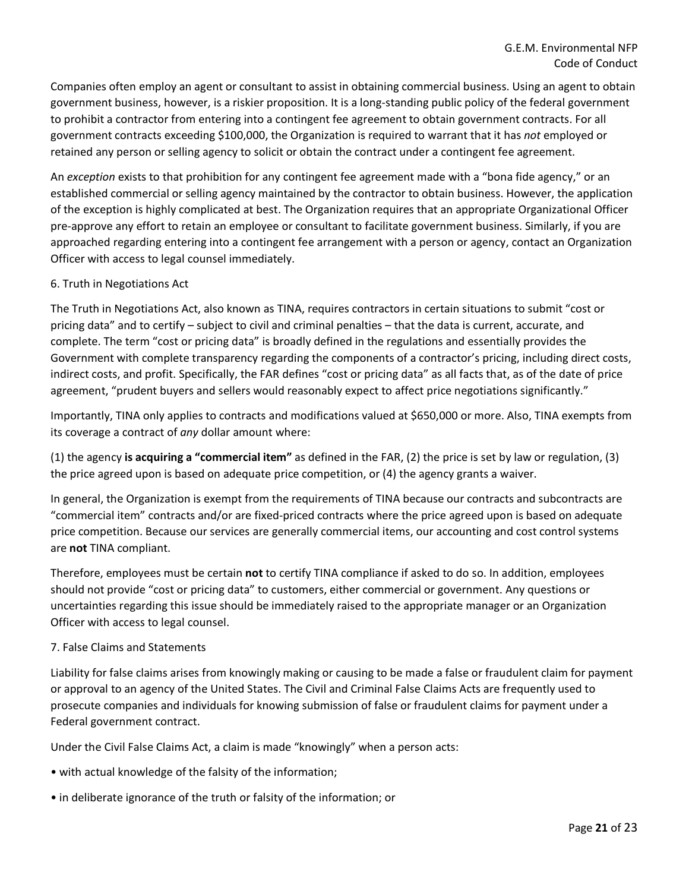Companies often employ an agent or consultant to assist in obtaining commercial business. Using an agent to obtain government business, however, is a riskier proposition. It is a long-standing public policy of the federal government to prohibit a contractor from entering into a contingent fee agreement to obtain government contracts. For all government contracts exceeding \$100,000, the Organization is required to warrant that it has *not* employed or retained any person or selling agency to solicit or obtain the contract under a contingent fee agreement.

An *exception* exists to that prohibition for any contingent fee agreement made with a "bona fide agency," or an established commercial or selling agency maintained by the contractor to obtain business. However, the application of the exception is highly complicated at best. The Organization requires that an appropriate Organizational Officer pre-approve any effort to retain an employee or consultant to facilitate government business. Similarly, if you are approached regarding entering into a contingent fee arrangement with a person or agency, contact an Organization Officer with access to legal counsel immediately.

## 6. Truth in Negotiations Act

The Truth in Negotiations Act, also known as TINA, requires contractors in certain situations to submit "cost or pricing data" and to certify – subject to civil and criminal penalties – that the data is current, accurate, and complete. The term "cost or pricing data" is broadly defined in the regulations and essentially provides the Government with complete transparency regarding the components of a contractor's pricing, including direct costs, indirect costs, and profit. Specifically, the FAR defines "cost or pricing data" as all facts that, as of the date of price agreement, "prudent buyers and sellers would reasonably expect to affect price negotiations significantly."

Importantly, TINA only applies to contracts and modifications valued at \$650,000 or more. Also, TINA exempts from its coverage a contract of *any* dollar amount where:

(1) the agency **is acquiring a "commercial item"** as defined in the FAR, (2) the price is set by law or regulation, (3) the price agreed upon is based on adequate price competition, or (4) the agency grants a waiver.

In general, the Organization is exempt from the requirements of TINA because our contracts and subcontracts are "commercial item" contracts and/or are fixed-priced contracts where the price agreed upon is based on adequate price competition. Because our services are generally commercial items, our accounting and cost control systems are **not** TINA compliant.

Therefore, employees must be certain **not** to certify TINA compliance if asked to do so. In addition, employees should not provide "cost or pricing data" to customers, either commercial or government. Any questions or uncertainties regarding this issue should be immediately raised to the appropriate manager or an Organization Officer with access to legal counsel.

## 7. False Claims and Statements

Liability for false claims arises from knowingly making or causing to be made a false or fraudulent claim for payment or approval to an agency of the United States. The Civil and Criminal False Claims Acts are frequently used to prosecute companies and individuals for knowing submission of false or fraudulent claims for payment under a Federal government contract.

Under the Civil False Claims Act, a claim is made "knowingly" when a person acts:

- with actual knowledge of the falsity of the information;
- in deliberate ignorance of the truth or falsity of the information; or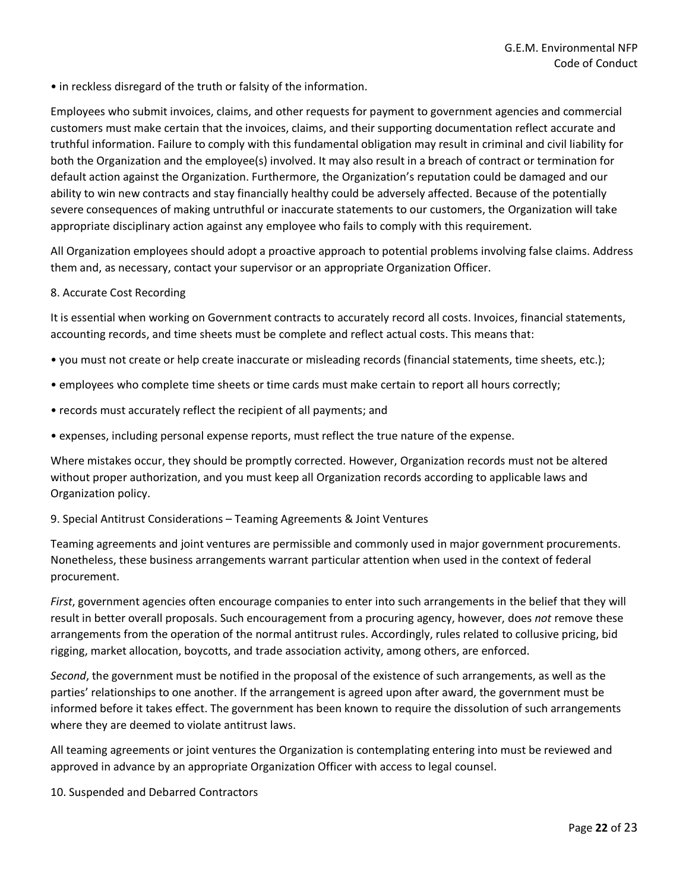• in reckless disregard of the truth or falsity of the information.

Employees who submit invoices, claims, and other requests for payment to government agencies and commercial customers must make certain that the invoices, claims, and their supporting documentation reflect accurate and truthful information. Failure to comply with this fundamental obligation may result in criminal and civil liability for both the Organization and the employee(s) involved. It may also result in a breach of contract or termination for default action against the Organization. Furthermore, the Organization's reputation could be damaged and our ability to win new contracts and stay financially healthy could be adversely affected. Because of the potentially severe consequences of making untruthful or inaccurate statements to our customers, the Organization will take appropriate disciplinary action against any employee who fails to comply with this requirement.

All Organization employees should adopt a proactive approach to potential problems involving false claims. Address them and, as necessary, contact your supervisor or an appropriate Organization Officer.

## 8. Accurate Cost Recording

It is essential when working on Government contracts to accurately record all costs. Invoices, financial statements, accounting records, and time sheets must be complete and reflect actual costs. This means that:

- you must not create or help create inaccurate or misleading records (financial statements, time sheets, etc.);
- employees who complete time sheets or time cards must make certain to report all hours correctly;
- records must accurately reflect the recipient of all payments; and
- expenses, including personal expense reports, must reflect the true nature of the expense.

Where mistakes occur, they should be promptly corrected. However, Organization records must not be altered without proper authorization, and you must keep all Organization records according to applicable laws and Organization policy.

#### 9. Special Antitrust Considerations – Teaming Agreements & Joint Ventures

Teaming agreements and joint ventures are permissible and commonly used in major government procurements. Nonetheless, these business arrangements warrant particular attention when used in the context of federal procurement.

*First*, government agencies often encourage companies to enter into such arrangements in the belief that they will result in better overall proposals. Such encouragement from a procuring agency, however, does *not* remove these arrangements from the operation of the normal antitrust rules. Accordingly, rules related to collusive pricing, bid rigging, market allocation, boycotts, and trade association activity, among others, are enforced.

*Second*, the government must be notified in the proposal of the existence of such arrangements, as well as the parties' relationships to one another. If the arrangement is agreed upon after award, the government must be informed before it takes effect. The government has been known to require the dissolution of such arrangements where they are deemed to violate antitrust laws.

All teaming agreements or joint ventures the Organization is contemplating entering into must be reviewed and approved in advance by an appropriate Organization Officer with access to legal counsel.

10. Suspended and Debarred Contractors